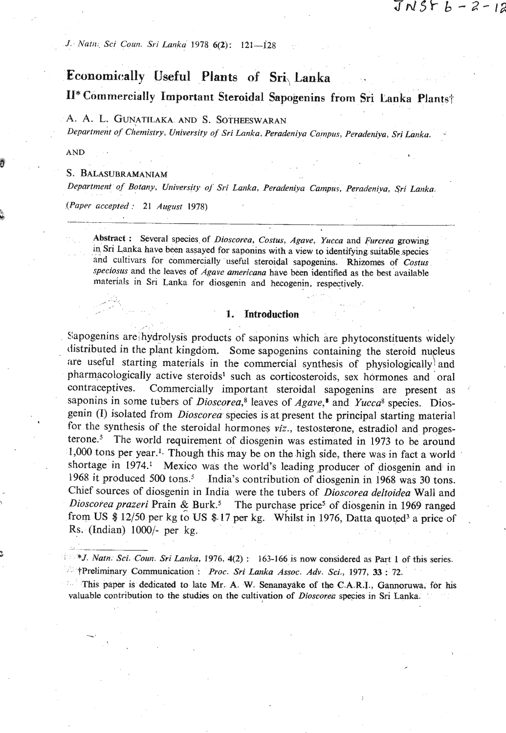# JNSF b ー 2 - 1a

*J. 117at11. Sci Coun. Svi Lanku* **1978 4(2j: 121-128** 

# **Economic:ally Useful Plants of Sri, Lanka**

**11\*** Commercially Important Steroidal Sapogenins from Sri Lanka Plants†

# **A. A.** L. GUNATILAKA AND **S.** SOTHEESWARAN

*Depurtment of ~lhnistry, University of Sri Lnnka, Peradettliya Campus, Peradeniya,* **Svi** *Lanka.* -

AND

3

\*i

# S. BALASUBRAMANIAM

< -

--

*Department of Botany, University oj Sri Lanka, Peradeniya Campus, Peradeniya, Sri Lanka.* 

*(Paper accepted:* **21** *August* **1978) <sup>5</sup>**

**Abstract** : **Several species of** *Dioscorea, Costus,* **Agave,** *Yucca* **and** *Furcrea* **growing**  in Sri Lanka have been assayed for saponins with a view to identifying suitable species and cultivars for commercially useful steroidal sapogenins. Rhizomes of *Costus specioslrs* **and the leaves of** *Agave americana* **have** *been* **identified as the best available**  materials in Sri Lanka for diosgenin and hecogenin, respectively.

#### 1. Introduction

Sapogenins are hydrolysis products of saponins which are phytoconstituents widely distributed in the plant kingdom. Some sapogenins containing the steroid nucleus are useful starting materials in the commercial synthesis of physiologically<sup>}</sup> and pharmacologically active steroids<sup>1</sup> such as corticosteroids, sex hormones and oral contraceptives. Commercially important steroidal sapogenins are present as saponins in some tubers of Dioscorea,<sup>8</sup> leaves of Agave,<sup>8</sup> and Yucca<sup>8</sup> species. Diosgenin (I) isolated from *Dioscorea* species is at present the principal starting material for the synthesis of the steroidal hormones *viz.*, testosterone, estradiol and progesterone.<sup>5</sup> The world requirement of diosgenin was estimated in 1973 to be around 1,000 tons per year.<sup>1</sup>. Though this may be on the high side, there was in fact a world shortage in 1974.<sup>1</sup> Mexico was the world's leading producer of diosgenin and in 1968 it produced 500 tons.<sup>5</sup> India's contribution of diosgenin in 1968 was 30 tons. Chief sources of diosgenin in India were the tubers of *Dioscorea deltoidea* Wall and Dioscorea prazeri Prain & Burk.<sup>5</sup> The purchase price<sup>s</sup> of diosgenin in 1969 ranged from **US** \$ 12/50 per kg to US \$- 17 per kg. Whilst in **1976,** Datta quoted3 a price of Rs. (Indian) 1000/- per kg.

*\*J. Natn. Sci. Coun. Sri Lanka, 1976,* **4(2)** : **163-166 is now considered as Part 1 of +his series. tPreliminary Communication** : *Proc. Sri Lanka Assoc. Adv. Sci.,* **1977,** *<sup>33</sup>*: **72.** 

**This paper is dedicated to late Mr. A. W. Senanayake of the C.A.R.I., Gamoruwa, for his**  valuable contribution to the studies on the cultivation of *Dioscorea* species in Sri Lanka.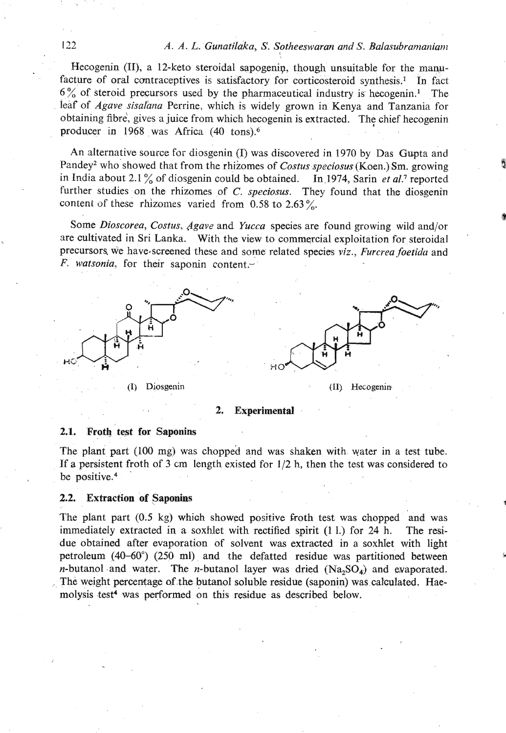Hecogenin (II), a 12-keto steroidal sapogenin, though unsuitable for the manufacture of oral contraceptives is satisfactory for corticosteroid synthesis.<sup>1</sup> In fact  $6\%$  of steroid precursors used by the pharmaceutical industry is hecogenin.<sup>1</sup> The leaf of Agave sisalana Perrine, which is widely grown in Kenya and Tanzania for obtaining fibre, gives a juice from which hecogenin is extracted. The chief hecogenin producer in 1968 was Africa (40 tons).6

An alternative source for diosgenin (I) was discovered in 1970 by Das Gupta and Pandey<sup>2</sup> who showed that from the rhizomes of Costus speciosus (Koen.) Sm. growing in India about 2.1% of diosgenin could be obtained. In 1974, Sarin et al.7 reported further studies on the rhizomes of *C. speciosus*. They found that the diosgenin content of these rhizomes varied from  $0.58$  to  $2.63\%$ .

Some Dioscorea, Costus, Agave and Yucca species are found growing wild and/or are cultivated in Sri Lanka. With the view to commercial exploitation for steroidal precursors we have screened these and some related species *viz., Furcrea foetida* and F. watsonia, for their saponin content.



**I** 

#### . , **2. Experimental** .

#### **2.1.** Froth test for Saponins

The plant part (100 mg) was chopped and was shaken with water in a test tube. If a persistent froth of **3 cm** length existed for 112 h, then the test was considered to be positive. $4$ 

#### **2.2. Extraction of Saponins**

The plant part (0.5 kg) which showed positive froth test was chopped 'and was immediately extracted in a soxhlet with rectified spirit (1 1.) for 24 h. The residue obtained after evaporation of solvent was extracted in a soxhlet with light petroleum (40-60") (250 ml) and the defatted residue was partitioned between *n*-butanol and water. The *n*-butanol layer was dried  $(Na, SO<sub>4</sub>)$  and evaporated. The weight percentage of the butanol soluble residue (saponin) was calculated. Haemolysis test<sup>4</sup> was performed on this residue as described below.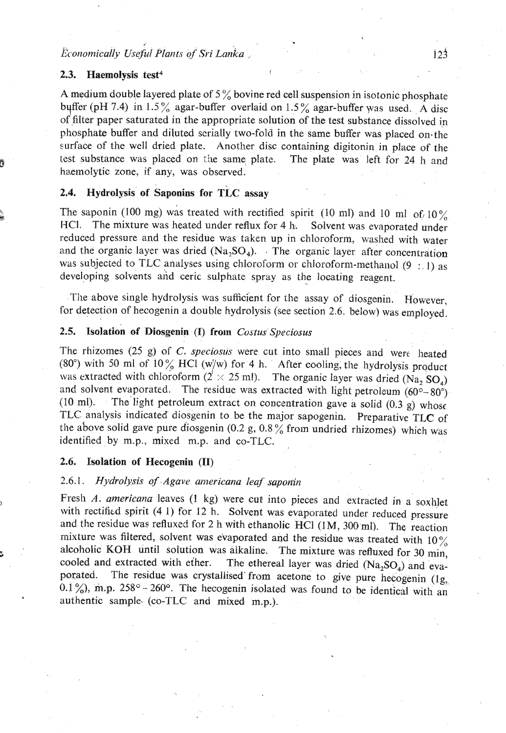# **Economically Useful Plants of Sri Lanka**

# **2.3. Haemolysis test4**

**4** 

A medium double layered plate of 5% bovine red cell suspension in isotonic phosphate buffer (pH 7.4) in 1.5% agar-buffer overlaid on 1.5% agar-buffer was used. A disc of filter paper saturated in the appropriate solution of the test substance dissolved in phosphate buffer and diluted serially two-fold in the same buffer was placed on-the surface of the well dried plate. Another disc containing digitonin in place of the test substance was placed on the same plate. The plate was left for 24 h and haemolytic zone, if any, was observed.

! . .

# 2.4. Hydrolysis of Saponins for TLC assay

The saponin (100 mg) was treated with rectified spirit (10 ml) and 10 ml of,  $10\%$ HCl. The mixture was heated under reflux for 4 h. Solvent was evaporated under reduced pressure and the residue was taken up in chloroform, washed with water and the organic layer was dried  $(Na_2SO_4)$ . The organic layer after concentration was subjected to TLC analyses using chloroform or chloroform-methanol (9 : 1) as developing solvents and ceric sulphate spray as the locating reagent.

The above single hydrolysis was sufficient for the assay of diosgenin. However, for detection of hecogenin a double hydrolysis (see section 2.6. below) was employed.

### **2.5. Isolation of Diosgenin** (I) **from** *Costus* **Speciosus**

The rhizomes (25 g) of *C. speciosus* were cut into small pieces and were heated (80°) with 50 ml of 10% HCl (w/w) for 4 h. After cooling, the hydrolysis product was extracted with chloroform ( $2' \times 25$  ml). The organic layer was dried (Na, SO,) and solvent evaporated. The residue was extracted with light petroleum  $(60^\circ - 80^\circ)$ (10 ml). The light petroleum extract on concentration gave a solid  $(0.3 \text{ g})$  whose TLC analysis indicated diosgenin to be the major sapogenin. Preparative TLC of the above solid gave pure diosgenin (0.2 g,  $0.8\%$  from undried rhizomes) which was identified by m.p., mixed m.p. and co-TLC.

#### **2.6. Isolation of Hecogenin** (11)

# 2.6.1. *Hydrolysis of Agave americana leaf saponin*

Fresh *A. americana* leaves (1 kg) were cut into pieces and extracted in a soxhlet with rectified spirit (4 1) for 12 h. Solvent was evaporated under reduced pressure and the residue was refluxed for 2 h with ethanolic HCI (lM, 300 ml). The reaction mixture was filtered, solvent was evaporated and the residue was treated with  $10\%$ alcoholic KOH until solution was alkaline. The mixture was refluxed for 30 min, cooled and extracted with ether. The ethereal layer was dried  $(Na, SO)$  and eva-The ethereal layer was dried  $(Na_2SO_4)$  and evaporated. The residue was crystallised from acetone to give pure hecogenin (1g, 0.1 %), m.p.  $258^\circ - 260^\circ$ . The hecogenin isolated was found to be identical with an authentic sample. (co-TLC and mixed m.p.).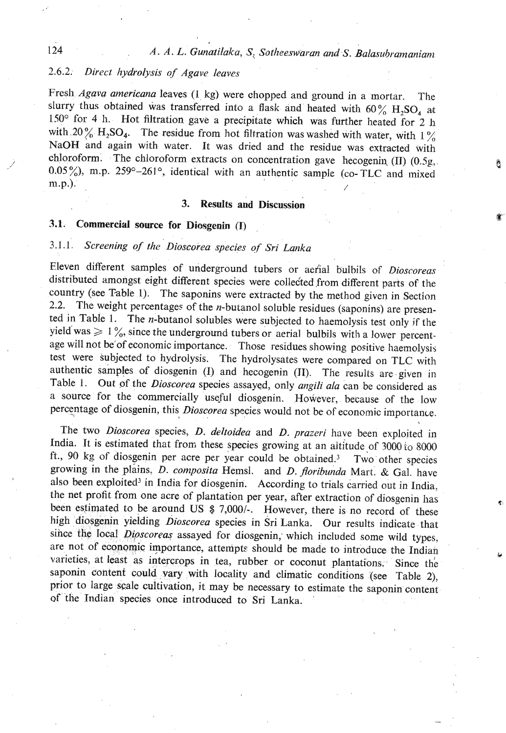Â

# *2.6.2. Direct lzydrolysis of Agave leaves*

Fresh *Agava americana* leaves *(1* kg) were chopped and ground in a mortar. The slurry thus obtained was transferred into a flask and heated with  $60\%$  H<sub>2</sub>SO<sub>4</sub> at 150° for 4 11. Hot filtration gave a precipitate which was further heated for 2 **h**  with 20% H<sub>2</sub>SO<sub>4</sub>. The residue from hot filtration was washed with water, with 1% NaOH and again with water. It was dried and the residue was extracted with chloroform. The chloroform extracts on concentration gave hecogenin (II) (0.5g, 0.05%), m.p. 259 $^{\circ}$ -261 $^{\circ}$ , identical with an authentic sample (co-TLC and mixed m.p.).

# **3.** Results and Discussion

# **3.1. Commercial source for Diosgenin (I)**

# 3.1.1 *Screening of the Dioscorea species of Sri Lanka*

Eleven different samples of underground tubers or aefial bulbils of *Diosroreas*  distributed amongst eight different species were collected from different parts of the country (see Table I). The saponins were extracted by the method given in Section 2.2. The weight percentages of the *n*-butanol soluble residues (saponins) are presented in Table 1. The n-butanol solubles were subjected to haemolysis test only **if** the yield was  $\geq 1$ %, since the underground tubers or aerial bulbils with a lower percentage will not be'of economic importance. Those residues showing positive haemolysis test were subjected to hydrolysis. The hydrolysates were compared on TLC with authentic samples of diosgenin (I) and hecogenin (11). The results are given in Table 1. Out of the *Dioscorea* species assayed, only *angili ala* can be considered as a source for the commercially useful diosgenin. However, because of the low percentage of diosgenin, this *Dioscorea* species would not be of economic importance.

The two *Dioscorea* species, *D. deltoidea* and *D. prazeri* have been exploited in India. It is estimated that from these species growing at an altitude of 3000 to 8000 ft., 90 kg of diosgenin per acre per year could be obtained.3 Two other species growing in the plains, D. *composita* Hemsl. and *D. florihunda* Mart. & Gal. have also been exploited<sup>3</sup> in India for diosgenin. According to trials carried out in India, the net profit from one acre of plantation per year, after extraction of diosgenin has been estimated to be around US  $$ 7,000/$ . However, there is no record of these high diosgenin yielding *Dioscorea* species in Sri Lanka. Our results indicate that since the local *Dioscoreas* assayed for diosgenin, which included some wild types, are not of economic importance, attempts should be made to introduce the Indian varieties, at least as intercrops in tea, rubber or coconut plantations. Since the saponin content could vary with locality and climatic conditions (see Table **2),**  prior to large scale cultivation, it may be necessary to estimate the saponin content of the Indian species once introduced to Sri Lanka. '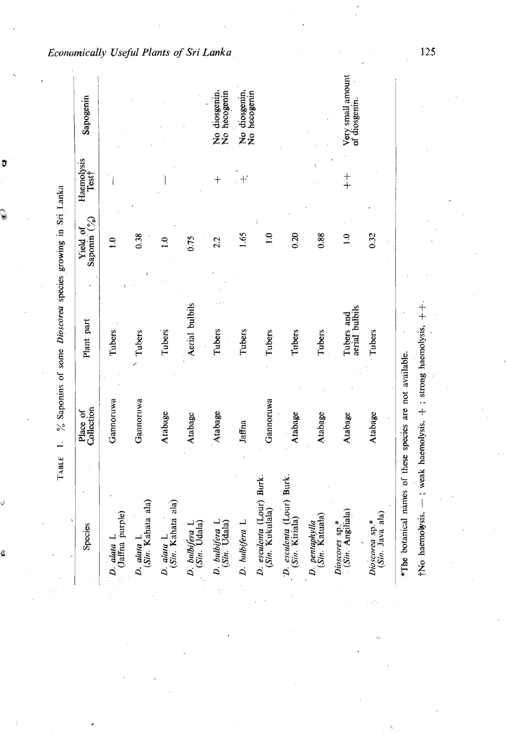| Species                                                  | Collection<br>Place of | Plant part                   | Saponin <sup>(%)</sup><br>Yield of | Haemolysis<br>Test† | Sapogenin                         |
|----------------------------------------------------------|------------------------|------------------------------|------------------------------------|---------------------|-----------------------------------|
| D. alata L.<br>(Jaffna purple)                           | Gannoruwa              | Tubers                       | $\ddot{ }$                         |                     |                                   |
| (Sin. Kahata ala)<br>D. alata L                          | Gannoruwa              | Tubers                       | 0.38                               |                     |                                   |
| (Sin. Kahata ala)<br>D. alata L                          | Atabage                | Tubers                       | $\frac{1}{2}$                      |                     |                                   |
| (Sin. Udala)<br>D. bulbifera L                           | Atabage                | Aerial bulbils               | 0.75                               |                     |                                   |
| D. bulbifera L.<br>(Sin. Udala)                          | Atabage                | Tubers                       | 2.2                                | $^{+}$              | No diosgenin,<br>No hecogenin     |
| D. bulbifera L                                           | Jaffna                 | Tubers                       | 1.65                               | 4 <sup>2</sup>      | No diosgenin,<br>No hecogenin     |
| D. esculenta (Lour) Burk.<br>(Sin. Kukulala)             | Gannoruwa              | Tubers                       | $\overline{10}$                    |                     |                                   |
| D. esculenta (Lour) Burk.<br>(Sin. Kiriala)              | Atabage                | Tubers                       | 0.20                               |                     |                                   |
| D. pentaphylla<br>(Sin. Katuala)                         | Atabage                | Tubers                       | 0.88                               |                     |                                   |
| Dioscores sp.*<br>(Sin. Angiliala)                       | Atabage                | aerial bulbils<br>Tubers and | $\overline{1.0}$                   | $+$                 | Very small amoun<br>of diosgenin. |
| (Sin. Java ala)<br>Dioscorea sp.*                        | Atabage                | Tubers                       | 0.32                               |                     |                                   |
| *The botanical names of these species are not available. |                        |                              |                                    |                     |                                   |

Economically Useful Plants of Sri Lanka

J

ŝ

 $125$ 

tNo haemolysis, --- ; weak haemolysis, + ; strong haemolysis, ++.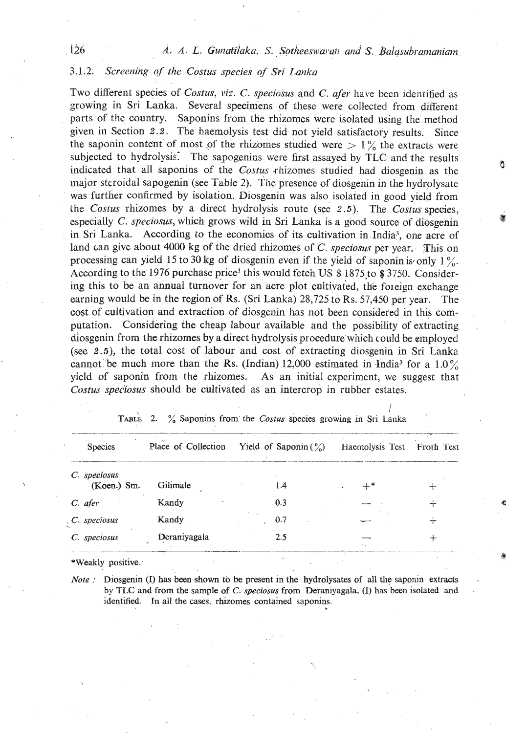# *3.1.2. Screening* of *the Costus species of Sri Lauzka*

Two different species of *Costus, viz. C. speciosus* and *C. afer* have been identified as growiqg in Sri Lanka. Several specimens of these were collected from different parts of the country. Saponins from the rhizomes were isolated using the method given in Section 2.2. The haemolysis test did not yield satisfactory results. Since the saponin content of most of the rhizomes studied were  $> 1\%$  the extracts were subjected to hydrolysis. The sapogenins were first assayed by TLC and the results indicated that all saponins of the *Costus rhizomes* studied had diosgenin as the major steroidal sapogenin (see Table 2). Tine presence of diosgenin m the hydrolysate was further confirmed by isolation. Diosgenin was also isolated in good yield from the *Costus* rhizomes by a direct hydrolysis route (see 2.5). The *Costus* species, especially *C. speciosus*, which grows wild in Sri Lanka is a good source of diosgenin in Sri Lanka. According to the economics of its cultivation in India<sup>3</sup>, one acre of land can give about *4000* kg of the dried rhizomes of *C. speciosus* per year. This on processing can yield 15 to 30 kg of diosgenin even if the yield of saponin is-only  $1\%$ . According to the 1976 purchase price3 this would fetch **US** \$ 1875to *\$3750.* Considering this to be an annual turnover for an acre plot cultivated, the foreign exchange earning would be in the region of Rs. (Sri Lanka) *28,725* to Rs. *57,450* per year. The cost of cultivation and extraction of diosgenin has not been considered in this computation. Considering the cheap labour available and the possibility of extracting diosgeniil from the rhizomes by a direct hydrolysis procedure which could be employed (see **2.5),** the total cost of labour and cost of extracting diosgenin in Sri Lanka cannot be much more than the Rs. (Indian)  $12,000$  estimated in  $\text{India}^3$  for a  $1.0\%$ yield of saponin from the rhizomes. As an initial experiment, we suggest that Costus speciosus should be cultivated as an intercrop in rubber estates.<br>
TABLE 2. % Saponins from the Costus species growing in Sri Lanka<br>
Spec *Costus speciosus* should be cultivated as an intercrop in rubber estates.

| <b>Species</b>              | Place of Collection | Yield of Saponin $(\frac{6}{6})$ | Haemolysis Test | Froth Test |
|-----------------------------|---------------------|----------------------------------|-----------------|------------|
| C. speciosus<br>(Koen.) Sm. | Gilimale            | 1.4                              |                 |            |
| C. afer                     | Kandy               | 0.3                              |                 |            |
| C. speciosus                | Kandy               | 0.7                              |                 |            |
| C. speciosus                | Deraniyagala        | 2.5                              |                 |            |
| $MIX$ and $\sim$ monitors.  |                     |                                  |                 |            |

|  |  |  | TABLE 2. % Saponins from the Costus species growing in Sri Lanka |  |  |  |  |  |  |  |  |  |
|--|--|--|------------------------------------------------------------------|--|--|--|--|--|--|--|--|--|
|--|--|--|------------------------------------------------------------------|--|--|--|--|--|--|--|--|--|

I

**\*Weakly positive.** 

*Note* : Diosgenin (I) has been shown to be present in the hydrolysates of all the saponin extracts by **TLC and from the sample of C.** *speciosus* **from Deraniyagala, (I) has been isolated and** . **identified. In all the cases, rhizomes contained saponins.**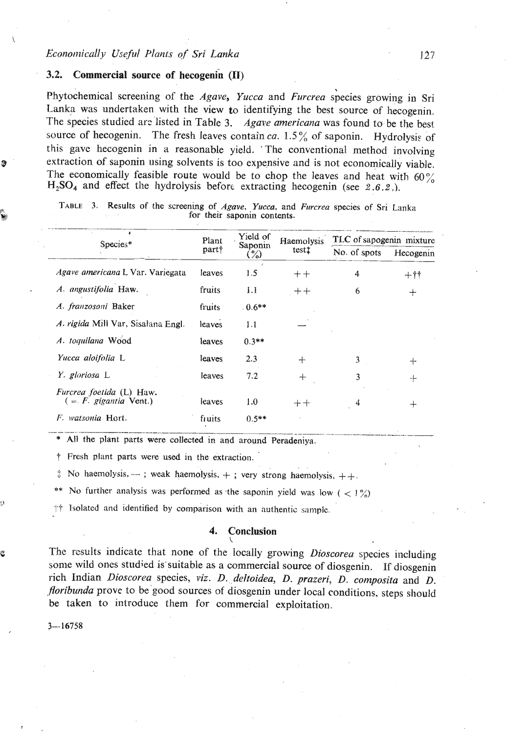#### 3.2. Commercial source of hecogenin (II)

Phytochemical screening of the Agave, Yucca and Furcrea species growing in Sri Lanka was undertaken with the view to identifying the best source of hecogenin. The species studied are listed in Table 3. Agave americana was found to be the best source of hecogenin. The fresh leaves contain ca.  $1.5\%$  of saponin. Hydrolysis of this gave hecogenin in a reasonable yield. The conventional method involving extraction of saponin using solvents is too expensive and is not economically viable. The economically feasible route would be to chop the leaves and heat with 60%  $H_2SO_4$  and effect the hydrolysis before extracting hecogenin (see 2.6.2.).

| Species*                                             | Plant<br>part† | Yield of<br>Saponin<br>$\binom{9}{0}$ | Haemolysis<br>test‡ | TLC of sapogenin mixture |           |  |
|------------------------------------------------------|----------------|---------------------------------------|---------------------|--------------------------|-----------|--|
|                                                      |                |                                       |                     | No. of spots             | Hecogenin |  |
| Agave americana L Var. Variegata                     | leaves         | 1.5                                   | $++$                | 4                        | $+$ it    |  |
| A. angustifolia Haw.                                 | fruits         | 1.1                                   | $+ +$               | 6                        | ┿         |  |
| A. franzosoni Baker                                  | fruits         | $0.6**$                               |                     |                          |           |  |
| A. rigida Mill Var, Sisalana Engl.                   | leaves         | 1.1                                   |                     |                          |           |  |
| A. toquilana Wood                                    | leaves         | $0.3**$                               |                     |                          |           |  |
| Yucca aloifolia L                                    | leaves         | 2.3                                   | ╃                   | 3                        | ┽         |  |
| Y. gloriosa L                                        | leaves         | 7.2                                   | $^{+}$              | 3                        | ⊹         |  |
| Furcrea foetida (L) Haw.<br>$($ = F. gigantia Vent.) | leaves         | 1.0                                   | $++$                | 4                        | $^{+}$    |  |
| F. watsonia Hort.                                    | fruits         | $0.5**$                               |                     |                          |           |  |

TABLE 3. Results of the screening of Agave, Yucca, and Furcrea species of Sri Lanka for their saponin contents.

\* All the plant parts were collected in and around Peradeniya.

† Fresh plant parts were used in the extraction.

 $\therefore$  No haemolysis, --; weak haemolysis, +; very strong haemolysis, ++.

No further analysis was performed as the saponin yield was low (  $\langle 1\% \rangle$ )

++ Isolated and identified by comparison with an authentic sample.

#### 4. Conclusion

The results indicate that none of the locally growing Dioscorea species including some wild ones studied is suitable as a commercial source of diosgenin. If diosgenin rich Indian Dioscorea species, viz. D. deltoidea, D. prazeri, D. composita and D. floribunda prove to be good sources of diosgenin under local conditions, steps should be taken to introduce them for commercial exploitation.

 $3 - 16758$